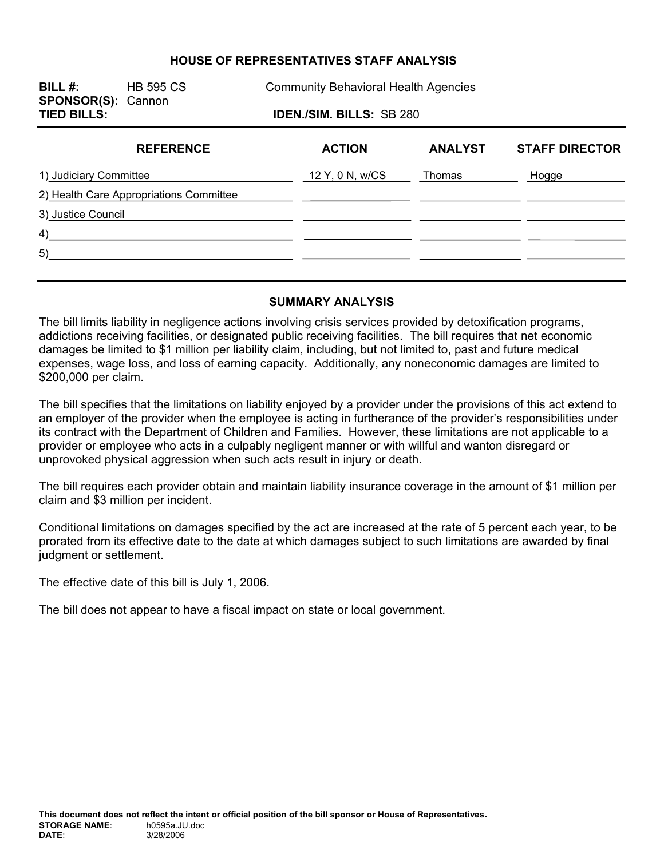#### **HOUSE OF REPRESENTATIVES STAFF ANALYSIS**

**SPONSOR(S):** Cannon

**BILL #:** HB 595 CS Community Behavioral Health Agencies

**TIED BILLS: IDEN./SIM. BILLS:** SB 280

| <b>REFERENCE</b>                        | <b>ACTION</b>   | <b>ANALYST</b> | <b>STAFF DIRECTOR</b> |
|-----------------------------------------|-----------------|----------------|-----------------------|
| 1) Judiciary Committee                  | 12 Y, 0 N, w/CS | Thomas         | Hogge                 |
| 2) Health Care Appropriations Committee |                 |                |                       |
| 3) Justice Council                      |                 |                |                       |
| 4)                                      |                 |                |                       |
| 5)                                      |                 |                |                       |
|                                         |                 |                |                       |

#### **SUMMARY ANALYSIS**

The bill limits liability in negligence actions involving crisis services provided by detoxification programs, addictions receiving facilities, or designated public receiving facilities. The bill requires that net economic damages be limited to \$1 million per liability claim, including, but not limited to, past and future medical expenses, wage loss, and loss of earning capacity. Additionally, any noneconomic damages are limited to \$200,000 per claim.

The bill specifies that the limitations on liability enjoyed by a provider under the provisions of this act extend to an employer of the provider when the employee is acting in furtherance of the provider's responsibilities under its contract with the Department of Children and Families. However, these limitations are not applicable to a provider or employee who acts in a culpably negligent manner or with willful and wanton disregard or unprovoked physical aggression when such acts result in injury or death.

The bill requires each provider obtain and maintain liability insurance coverage in the amount of \$1 million per claim and \$3 million per incident.

Conditional limitations on damages specified by the act are increased at the rate of 5 percent each year, to be prorated from its effective date to the date at which damages subject to such limitations are awarded by final judgment or settlement.

The effective date of this bill is July 1, 2006.

The bill does not appear to have a fiscal impact on state or local government.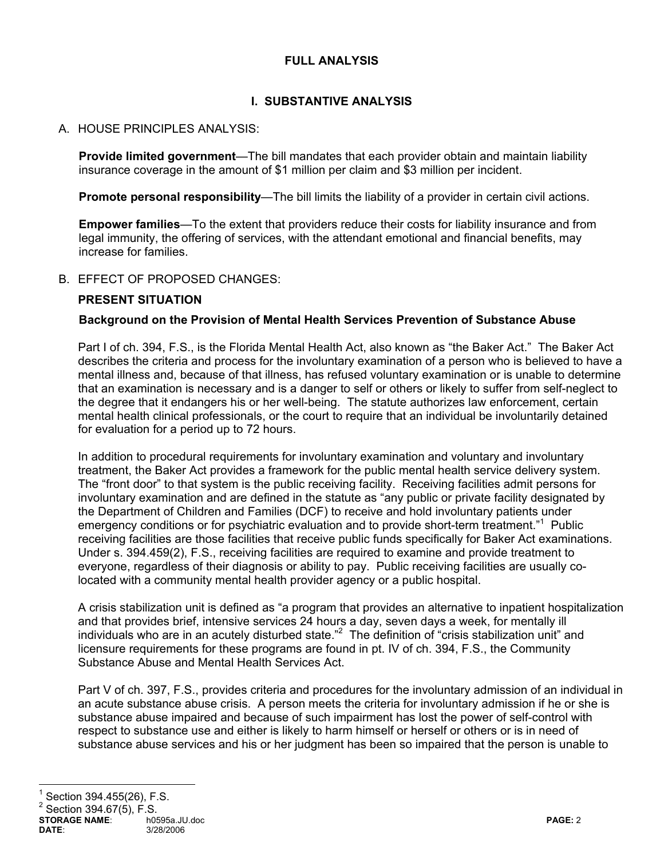## **FULL ANALYSIS**

## **I. SUBSTANTIVE ANALYSIS**

## A. HOUSE PRINCIPLES ANALYSIS:

**Provide limited government**—The bill mandates that each provider obtain and maintain liability insurance coverage in the amount of \$1 million per claim and \$3 million per incident.

**Promote personal responsibility**—The bill limits the liability of a provider in certain civil actions.

**Empower families**—To the extent that providers reduce their costs for liability insurance and from legal immunity, the offering of services, with the attendant emotional and financial benefits, may increase for families.

### B. EFFECT OF PROPOSED CHANGES:

### **PRESENT SITUATION**

#### **Background on the Provision of Mental Health Services Prevention of Substance Abuse**

Part I of ch. 394, F.S., is the Florida Mental Health Act, also known as "the Baker Act." The Baker Act describes the criteria and process for the involuntary examination of a person who is believed to have a mental illness and, because of that illness, has refused voluntary examination or is unable to determine that an examination is necessary and is a danger to self or others or likely to suffer from self-neglect to the degree that it endangers his or her well-being. The statute authorizes law enforcement, certain mental health clinical professionals, or the court to require that an individual be involuntarily detained for evaluation for a period up to 72 hours.

In addition to procedural requirements for involuntary examination and voluntary and involuntary treatment, the Baker Act provides a framework for the public mental health service delivery system. The "front door" to that system is the public receiving facility. Receiving facilities admit persons for involuntary examination and are defined in the statute as "any public or private facility designated by the Department of Children and Families (DCF) to receive and hold involuntary patients under emergency conditions or for psychiatric evaluation and to provide short-term treatment."<sup>1</sup> Public receiving facilities are those facilities that receive public funds specifically for Baker Act examinations. Under s. 394.459(2), F.S., receiving facilities are required to examine and provide treatment to everyone, regardless of their diagnosis or ability to pay. Public receiving facilities are usually colocated with a community mental health provider agency or a public hospital.

A crisis stabilization unit is defined as "a program that provides an alternative to inpatient hospitalization and that provides brief, intensive services 24 hours a day, seven days a week, for mentally ill individuals who are in an acutely disturbed state."<sup>2</sup> The definition of "crisis stabilization unit" and licensure requirements for these programs are found in pt. IV of ch. 394, F.S., the Community Substance Abuse and Mental Health Services Act.

Part V of ch. 397, F.S., provides criteria and procedures for the involuntary admission of an individual in an acute substance abuse crisis. A person meets the criteria for involuntary admission if he or she is substance abuse impaired and because of such impairment has lost the power of self-control with respect to substance use and either is likely to harm himself or herself or others or is in need of substance abuse services and his or her judgment has been so impaired that the person is unable to

# 1 Section 394.455(26), F.S.

 $^{2}$  Section 394.67(5), F.S.

```
STORAGE NAME: h0595a.JU.doc PAGE: 2
DATE: 3/28/2006
```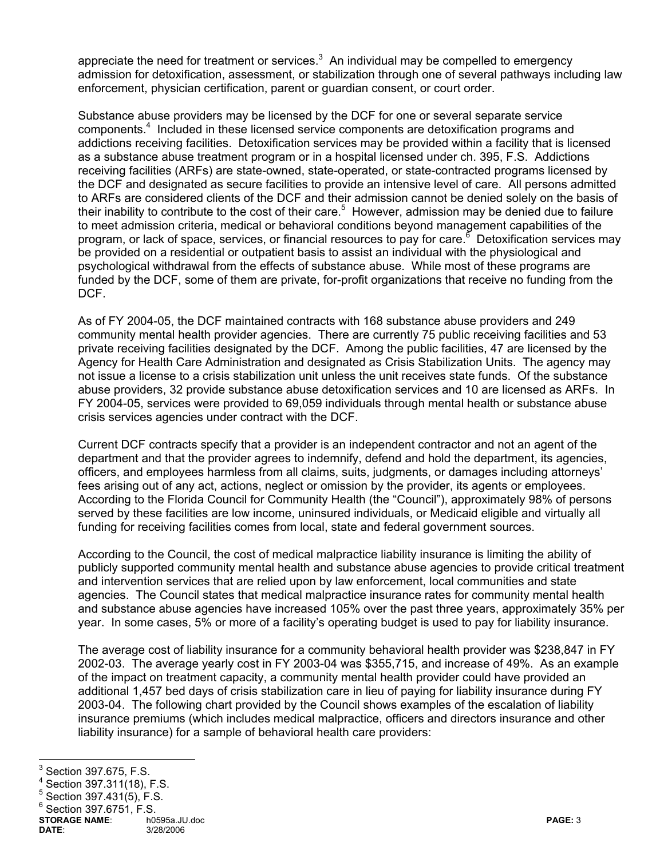appreciate the need for treatment or services. $3$  An individual may be compelled to emergency admission for detoxification, assessment, or stabilization through one of several pathways including law enforcement, physician certification, parent or guardian consent, or court order.

Substance abuse providers may be licensed by the DCF for one or several separate service components.<sup>4</sup> Included in these licensed service components are detoxification programs and addictions receiving facilities. Detoxification services may be provided within a facility that is licensed as a substance abuse treatment program or in a hospital licensed under ch. 395, F.S. Addictions receiving facilities (ARFs) are state-owned, state-operated, or state-contracted programs licensed by the DCF and designated as secure facilities to provide an intensive level of care. All persons admitted to ARFs are considered clients of the DCF and their admission cannot be denied solely on the basis of their inability to contribute to the cost of their care.<sup>5</sup> However, admission may be denied due to failure to meet admission criteria, medical or behavioral conditions beyond management capabilities of the program, or lack of space, services, or financial resources to pay for care.<sup>6</sup> Detoxification services may be provided on a residential or outpatient basis to assist an individual with the physiological and psychological withdrawal from the effects of substance abuse. While most of these programs are funded by the DCF, some of them are private, for-profit organizations that receive no funding from the DCF.

As of FY 2004-05, the DCF maintained contracts with 168 substance abuse providers and 249 community mental health provider agencies. There are currently 75 public receiving facilities and 53 private receiving facilities designated by the DCF. Among the public facilities, 47 are licensed by the Agency for Health Care Administration and designated as Crisis Stabilization Units. The agency may not issue a license to a crisis stabilization unit unless the unit receives state funds. Of the substance abuse providers, 32 provide substance abuse detoxification services and 10 are licensed as ARFs. In FY 2004-05, services were provided to 69,059 individuals through mental health or substance abuse crisis services agencies under contract with the DCF.

Current DCF contracts specify that a provider is an independent contractor and not an agent of the department and that the provider agrees to indemnify, defend and hold the department, its agencies, officers, and employees harmless from all claims, suits, judgments, or damages including attorneys' fees arising out of any act, actions, neglect or omission by the provider, its agents or employees. According to the Florida Council for Community Health (the "Council"), approximately 98% of persons served by these facilities are low income, uninsured individuals, or Medicaid eligible and virtually all funding for receiving facilities comes from local, state and federal government sources.

According to the Council, the cost of medical malpractice liability insurance is limiting the ability of publicly supported community mental health and substance abuse agencies to provide critical treatment and intervention services that are relied upon by law enforcement, local communities and state agencies. The Council states that medical malpractice insurance rates for community mental health and substance abuse agencies have increased 105% over the past three years, approximately 35% per year. In some cases, 5% or more of a facility's operating budget is used to pay for liability insurance.

The average cost of liability insurance for a community behavioral health provider was \$238,847 in FY 2002-03. The average yearly cost in FY 2003-04 was \$355,715, and increase of 49%. As an example of the impact on treatment capacity, a community mental health provider could have provided an additional 1,457 bed days of crisis stabilization care in lieu of paying for liability insurance during FY 2003-04. The following chart provided by the Council shows examples of the escalation of liability insurance premiums (which includes medical malpractice, officers and directors insurance and other liability insurance) for a sample of behavioral health care providers:

<sup>&</sup>lt;sup>3</sup> Section 397.675, F.S.<br><sup>4</sup> Section 397.675, F.S.

Section 397.311(18), F.S.

<sup>5</sup> Section 397.431(5), F.S.

 $6$  Section 397.6751, F.S.

**STORAGE NAME**: h0595a.JU.doc **PAGE:** 3 **DATE**: 3/28/2006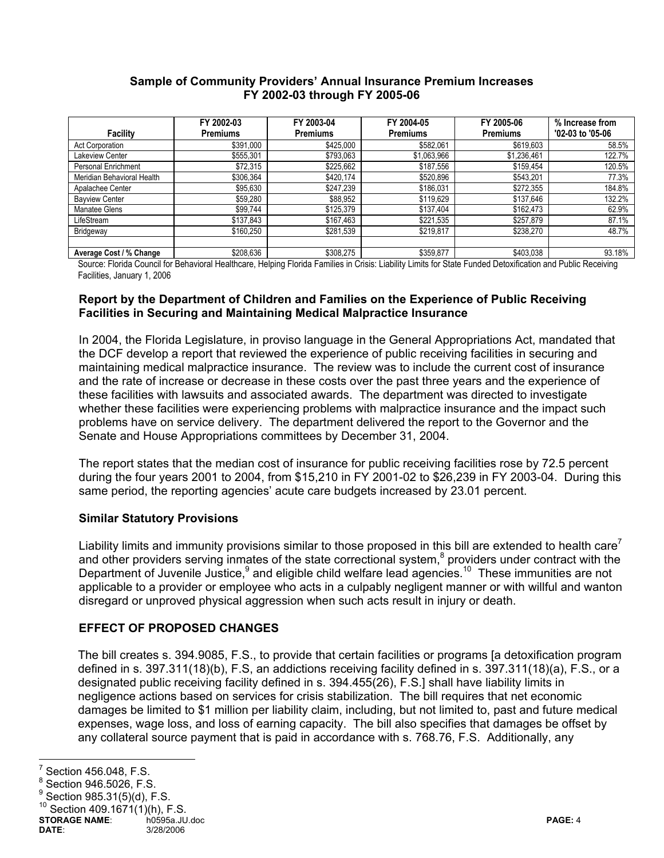#### **Sample of Community Providers' Annual Insurance Premium Increases FY 2002-03 through FY 2005-06**

|                            | FY 2002-03      | FY 2003-04      | FY 2004-05      | FY 2005-06      | % Increase from  |
|----------------------------|-----------------|-----------------|-----------------|-----------------|------------------|
| <b>Facility</b>            | <b>Premiums</b> | <b>Premiums</b> | <b>Premiums</b> | <b>Premiums</b> | '02-03 to '05-06 |
| <b>Act Corporation</b>     | \$391,000       | \$425,000       | \$582,061       | \$619,603       | 58.5%            |
| Lakeview Center            | \$555,301       | \$793,063       | \$1,063,966     | \$1,236,461     | 122.7%           |
| Personal Enrichment        | \$72,315        | \$225,662       | \$187,556       | \$159,454       | 120.5%           |
| Meridian Behavioral Health | \$306,364       | \$420,174       | \$520,896       | \$543,201       | 77.3%            |
| Apalachee Center           | \$95,630        | \$247,239       | \$186,031       | \$272,355       | 184.8%           |
| <b>Bayview Center</b>      | \$59,280        | \$88,952        | \$119,629       | \$137,646       | 132.2%           |
| Manatee Glens              | \$99,744        | \$125,379       | \$137,404       | \$162,473       | 62.9%            |
| LifeStream                 | \$137,843       | \$167,463       | \$221,535       | \$257,879       | 87.1%            |
| Bridgeway                  | \$160,250       | \$281,539       | \$219,817       | \$238,270       | 48.7%            |
|                            |                 |                 |                 |                 |                  |
| Average Cost / % Change    | \$208,636       | \$308,275       | \$359,877       | \$403,038       | 93.18%           |

Source: Florida Council for Behavioral Healthcare, Helping Florida Families in Crisis: Liability Limits for State Funded Detoxification and Public Receiving Facilities, January 1, 2006

#### **Report by the Department of Children and Families on the Experience of Public Receiving Facilities in Securing and Maintaining Medical Malpractice Insurance**

In 2004, the Florida Legislature, in proviso language in the General Appropriations Act, mandated that the DCF develop a report that reviewed the experience of public receiving facilities in securing and maintaining medical malpractice insurance. The review was to include the current cost of insurance and the rate of increase or decrease in these costs over the past three years and the experience of these facilities with lawsuits and associated awards. The department was directed to investigate whether these facilities were experiencing problems with malpractice insurance and the impact such problems have on service delivery. The department delivered the report to the Governor and the Senate and House Appropriations committees by December 31, 2004.

The report states that the median cost of insurance for public receiving facilities rose by 72.5 percent during the four years 2001 to 2004, from \$15,210 in FY 2001-02 to \$26,239 in FY 2003-04. During this same period, the reporting agencies' acute care budgets increased by 23.01 percent.

### **Similar Statutory Provisions**

Liability limits and immunity provisions similar to those proposed in this bill are extended to health care<sup>7</sup> and other providers serving inmates of the state correctional system, $8$  providers under contract with the Department of Juvenile Justice,<sup>9</sup> and eligible child welfare lead agencies.<sup>10</sup> These immunities are not applicable to a provider or employee who acts in a culpably negligent manner or with willful and wanton disregard or unproved physical aggression when such acts result in injury or death.

# **EFFECT OF PROPOSED CHANGES**

The bill creates s. 394.9085, F.S., to provide that certain facilities or programs [a detoxification program defined in s. 397.311(18)(b), F.S, an addictions receiving facility defined in s. 397.311(18)(a), F.S., or a designated public receiving facility defined in s. 394.455(26), F.S.] shall have liability limits in negligence actions based on services for crisis stabilization. The bill requires that net economic damages be limited to \$1 million per liability claim, including, but not limited to, past and future medical expenses, wage loss, and loss of earning capacity. The bill also specifies that damages be offset by any collateral source payment that is paid in accordance with s. 768.76, F.S. Additionally, any

 7 Section 456.048, F.S.

<sup>8</sup> Section 946.5026, F.S.

<sup>9</sup> Section 985.31(5)(d), F.S.

Section  $409.1671(1)(h)$ , F.S.

**STORAGE NAME:** http://edu/docitor.com/integrate/state/state/state/state/state/state/state/state/state/state/state/<br>DATE: 3/28/2006 **DATE**: 3/28/2006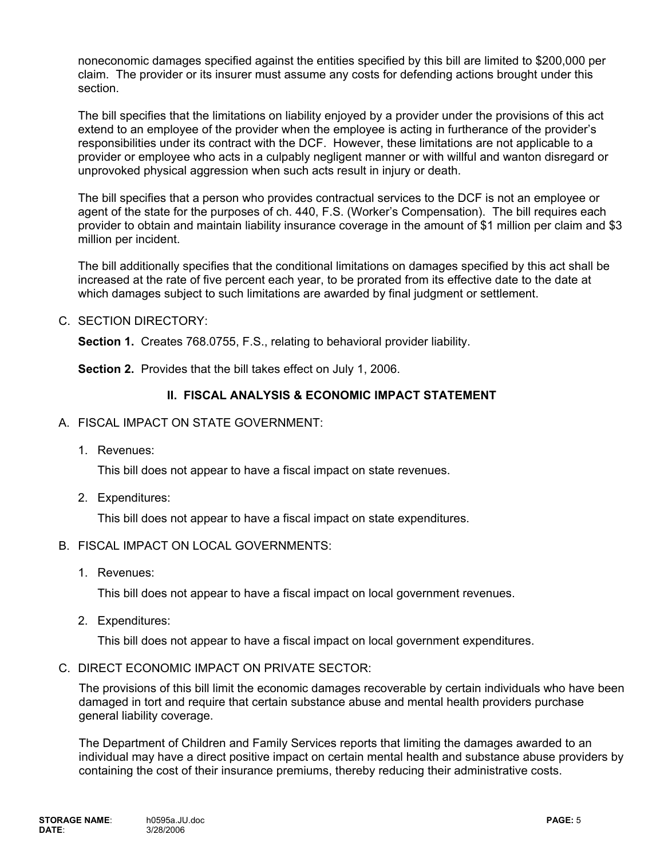noneconomic damages specified against the entities specified by this bill are limited to \$200,000 per claim. The provider or its insurer must assume any costs for defending actions brought under this section.

The bill specifies that the limitations on liability enjoyed by a provider under the provisions of this act extend to an employee of the provider when the employee is acting in furtherance of the provider's responsibilities under its contract with the DCF. However, these limitations are not applicable to a provider or employee who acts in a culpably negligent manner or with willful and wanton disregard or unprovoked physical aggression when such acts result in injury or death.

The bill specifies that a person who provides contractual services to the DCF is not an employee or agent of the state for the purposes of ch. 440, F.S. (Worker's Compensation). The bill requires each provider to obtain and maintain liability insurance coverage in the amount of \$1 million per claim and \$3 million per incident.

The bill additionally specifies that the conditional limitations on damages specified by this act shall be increased at the rate of five percent each year, to be prorated from its effective date to the date at which damages subject to such limitations are awarded by final judgment or settlement.

#### C. SECTION DIRECTORY:

**Section 1.** Creates 768.0755, F.S., relating to behavioral provider liability.

**Section 2.** Provides that the bill takes effect on July 1, 2006.

### **II. FISCAL ANALYSIS & ECONOMIC IMPACT STATEMENT**

- A. FISCAL IMPACT ON STATE GOVERNMENT:
	- 1. Revenues:

This bill does not appear to have a fiscal impact on state revenues.

2. Expenditures:

This bill does not appear to have a fiscal impact on state expenditures.

### B. FISCAL IMPACT ON LOCAL GOVERNMENTS:

1. Revenues:

This bill does not appear to have a fiscal impact on local government revenues.

2. Expenditures:

This bill does not appear to have a fiscal impact on local government expenditures.

C. DIRECT ECONOMIC IMPACT ON PRIVATE SECTOR:

The provisions of this bill limit the economic damages recoverable by certain individuals who have been damaged in tort and require that certain substance abuse and mental health providers purchase general liability coverage.

The Department of Children and Family Services reports that limiting the damages awarded to an individual may have a direct positive impact on certain mental health and substance abuse providers by containing the cost of their insurance premiums, thereby reducing their administrative costs.